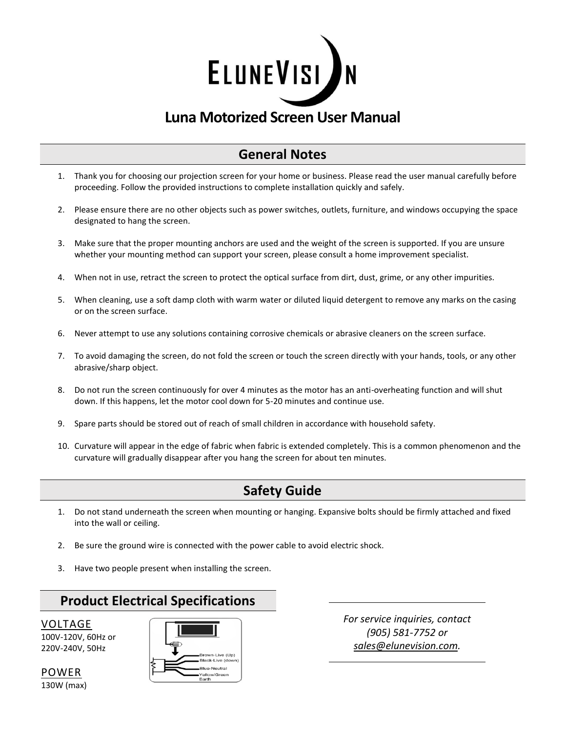

# **Luna Motorized Screen User Manual**

## **General Notes**

- 1. Thank you for choosing our projection screen for your home or business. Please read the user manual carefully before proceeding. Follow the provided instructions to complete installation quickly and safely.
- 2. Please ensure there are no other objects such as power switches, outlets, furniture, and windows occupying the space designated to hang the screen.
- 3. Make sure that the proper mounting anchors are used and the weight of the screen is supported. If you are unsure whether your mounting method can support your screen, please consult a home improvement specialist.
- 4. When not in use, retract the screen to protect the optical surface from dirt, dust, grime, or any other impurities.
- 5. When cleaning, use a soft damp cloth with warm water or diluted liquid detergent to remove any marks on the casing or on the screen surface.
- 6. Never attempt to use any solutions containing corrosive chemicals or abrasive cleaners on the screen surface.
- 7. To avoid damaging the screen, do not fold the screen or touch the screen directly with your hands, tools, or any other abrasive/sharp object.
- 8. Do not run the screen continuously for over 4 minutes as the motor has an anti-overheating function and will shut down. If this happens, let the motor cool down for 5-20 minutes and continue use.
- 9. Spare parts should be stored out of reach of small children in accordance with household safety.
- 10. Curvature will appear in the edge of fabric when fabric is extended completely. This is a common phenomenon and the curvature will gradually disappear after you hang the screen for about ten minutes.

## **Safety Guide**

- 1. Do not stand underneath the screen when mounting or hanging. Expansive bolts should be firmly attached and fixed into the wall or ceiling.
- 2. Be sure the ground wire is connected with the power cable to avoid electric shock.
- 3. Have two people present when installing the screen.

## **Product Electrical Specifications**

VOLTAGE

100V-120V, 60Hz or 220V-240V, 50Hz



*For service inquiries, contact (905) 581-7752 or [sales@elunevision.com.](mailto:sales@elunevision.com)*

POWER 130W (max)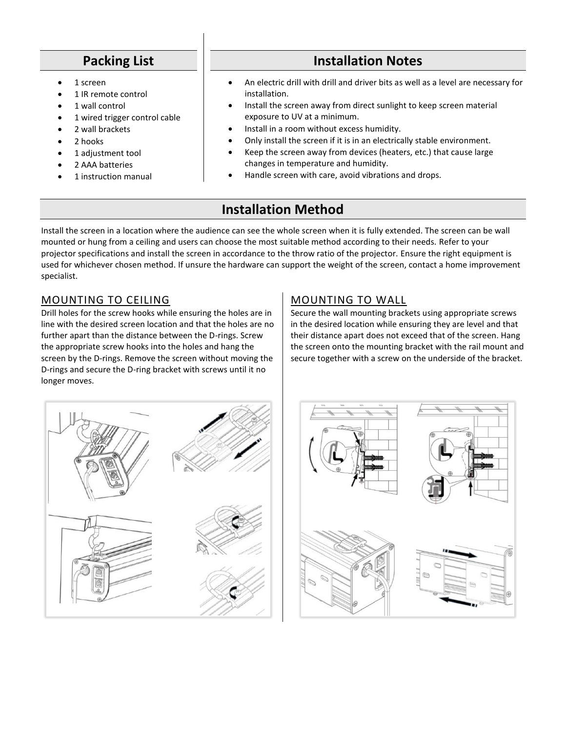## **Packing List**

- 1 screen
- 1 IR remote control
- 1 wall control
- 1 wired trigger control cable
- 2 wall brackets
- 2 hooks
- 1 adjustment tool
- 2 AAA batteries
- 1 instruction manual

## **Installation Notes**

- An electric drill with drill and driver bits as well as a level are necessary for installation.
- Install the screen away from direct sunlight to keep screen material exposure to UV at a minimum.
- Install in a room without excess humidity.
- Only install the screen if it is in an electrically stable environment.
- Keep the screen away from devices (heaters, etc.) that cause large changes in temperature and humidity.
- Handle screen with care, avoid vibrations and drops.

# **Installation Method**

Install the screen in a location where the audience can see the whole screen when it is fully extended. The screen can be wall mounted or hung from a ceiling and users can choose the most suitable method according to their needs. Refer to your projector specifications and install the screen in accordance to the throw ratio of the projector. Ensure the right equipment is used for whichever chosen method. If unsure the hardware can support the weight of the screen, contact a home improvement specialist.

### MOUNTING TO CEILING

Drill holes for the screw hooks while ensuring the holes are in line with the desired screen location and that the holes are no further apart than the distance between the D-rings. Screw the appropriate screw hooks into the holes and hang the screen by the D-rings. Remove the screen without moving the D-rings and secure the D-ring bracket with screws until it no longer moves.

### MOUNTING TO WALL

Secure the wall mounting brackets using appropriate screws in the desired location while ensuring they are level and that their distance apart does not exceed that of the screen. Hang the screen onto the mounting bracket with the rail mount and secure together with a screw on the underside of the bracket.



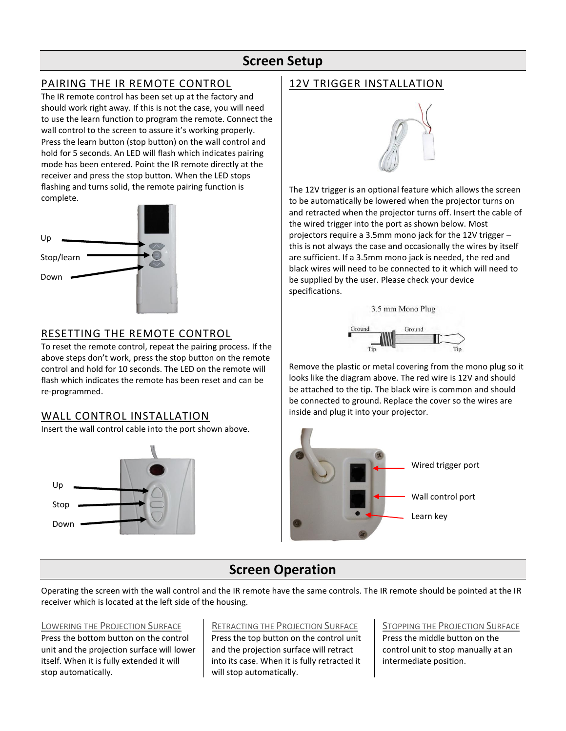### **Screen Setup**

### PAIRING THE IR REMOTE CONTROL

The IR remote control has been set up at the factory and should work right away. If this is not the case, you will need to use the learn function to program the remote. Connect the wall control to the screen to assure it's working properly. Press the learn button (stop button) on the wall control and hold for 5 seconds. An LED will flash which indicates pairing mode has been entered. Point the IR remote directly at the receiver and press the stop button. When the LED stops flashing and turns solid, the remote pairing function is complete.



### RESETTING THE REMOTE CONTROL

To reset the remote control, repeat the pairing process. If the above steps don't work, press the stop button on the remote control and hold for 10 seconds. The LED on the remote will flash which indicates the remote has been reset and can be re-programmed.

### WALL CONTROL INSTALLATION

Insert the wall control cable into the port shown above.



### 12V TRIGGER INSTALLATION



The 12V trigger is an optional feature which allows the screen to be automatically be lowered when the projector turns on and retracted when the projector turns off. Insert the cable of the wired trigger into the port as shown below. Most projectors require a 3.5mm mono jack for the 12V trigger – this is not always the case and occasionally the wires by itself are sufficient. If a 3.5mm mono jack is needed, the red and black wires will need to be connected to it which will need to be supplied by the user. Please check your device specifications.

3.5 mm Mono Plug



Remove the plastic or metal covering from the mono plug so it looks like the diagram above. The red wire is 12V and should be attached to the tip. The black wire is common and should be connected to ground. Replace the cover so the wires are inside and plug it into your projector.



## **Screen Operation**

Operating the screen with the wall control and the IR remote have the same controls. The IR remote should be pointed at the IR receiver which is located at the left side of the housing.

#### LOWERING THE PROJECTION SURFACE

Press the bottom button on the control unit and the projection surface will lower itself. When it is fully extended it will stop automatically.

RETRACTING THE PROJECTION SURFACE Press the top button on the control unit and the projection surface will retract into its case. When it is fully retracted it will stop automatically.

STOPPING THE PROJECTION SURFACE

Press the middle button on the control unit to stop manually at an intermediate position.